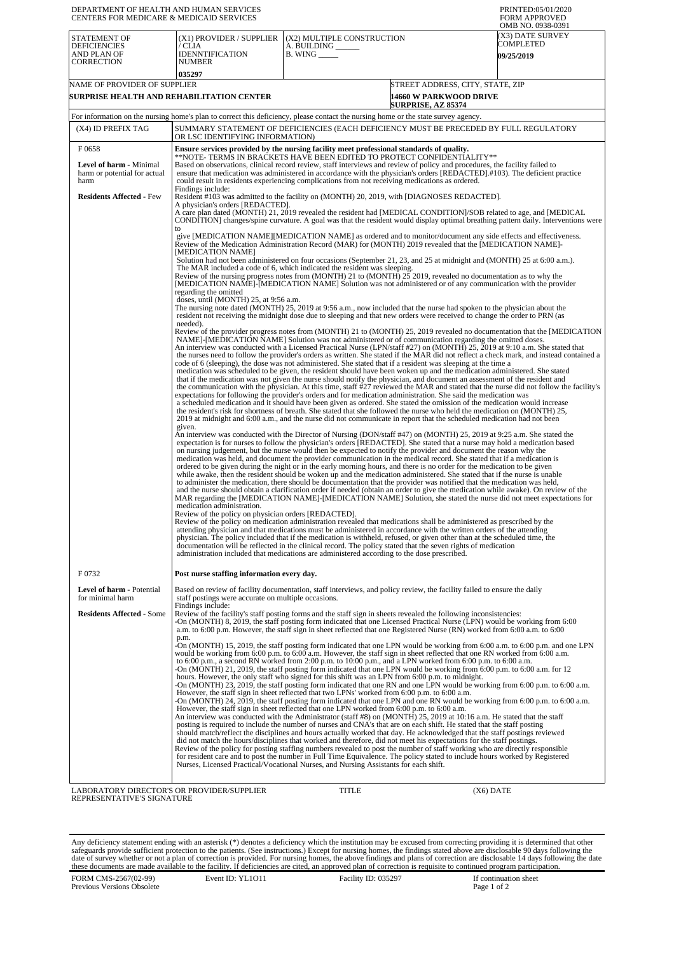| (X3) DATE SURVEY<br><b>STATEMENT OF</b><br>(X1) PROVIDER / SUPPLIER<br>(X2) MULTIPLE CONSTRUCTION<br>COMPLETED<br><b>DEFICIENCIES</b><br>/ CLIA<br>A. BUILDING<br><b>IDENNTIFICATION</b><br>AND PLAN OF<br><b>B. WING</b><br><b>09/25/2019</b><br><b>CORRECTION</b><br><b>NUMBER</b><br>035297<br>NAME OF PROVIDER OF SUPPLIER<br>STREET ADDRESS, CITY, STATE, ZIP<br>SURPRISE HEALTH AND REHABILITATION CENTER<br>14660 W PARKWOOD DRIVE<br><b>SURPRISE, AZ 85374</b><br>For information on the nursing home's plan to correct this deficiency, please contact the nursing home or the state survey agency.<br>(X4) ID PREFIX TAG<br>SUMMARY STATEMENT OF DEFICIENCIES (EACH DEFICIENCY MUST BE PRECEDED BY FULL REGULATORY<br>OR LSC IDENTIFYING INFORMATION)<br>F0658<br>Ensure services provided by the nursing facility meet professional standards of quality.<br>**NOTE- TERMS IN BRACKETS HAVE BEEN EDITED TO PROTECT CONFIDENTIALITY**<br>Based on observations, clinical record review, staff interviews and review of policy and procedures, the facility failed to<br>Level of harm - Minimal<br>ensure that medication was administered in accordance with the physician's orders [REDACTED].#103). The deficient practice<br>harm or potential for actual<br>could result in residents experiencing complications from not receiving medications as ordered.<br>harm<br>Findings include:<br><b>Residents Affected - Few</b><br>Resident #103 was admitted to the facility on (MONTH) 20, 2019, with [DIAGNOSES REDACTED].<br>A physician's orders [REDACTED].<br>A care plan dated (MONTH) 21, 2019 revealed the resident had [MEDICAL CONDITION]/SOB related to age, and [MEDICAL<br>to<br>give [MEDICATION NAME] [MEDICATION NAME] as ordered and to monitor/document any side effects and effectiveness.<br>Review of the Medication Administration Record (MAR) for (MONTH) 2019 revealed that the [MEDICATION NAME]-<br>[MEDICATION NAME]<br>Solution had not been administered on four occasions (September 21, 23, and 25 at midnight and (MONTH) 25 at 6:00 a.m.).<br>The MAR included a code of 6, which indicated the resident was sleeping.<br>Review of the nursing progress notes from (MONTH) 21 to (MONTH) $25$ 2019, revealed no documentation as to why the<br>[MEDICATION NAME]-[MEDICATION NAME] Solution was not administered or of any communication with the provider<br>regarding the omitted<br>doses, until (MONTH) 25, at 9:56 a.m.<br>The nursing note dated (MONTH) 25, 2019 at 9:56 a.m., now included that the nurse had spoken to the physician about the<br>resident not receiving the midnight dose due to sleeping and that new orders were received to change the order to PRN (as<br>needed).<br>Review of the provider progress notes from (MONTH) 21 to (MONTH) 25, 2019 revealed no documentation that the [MEDICATION<br>NAME]-[MEDICATION NAME] Solution was not administered or of communication regarding the omitted doses.<br>An interview was conducted with a Licensed Practical Nurse (LPN/staff #27) on (MONTH) 25, 2019 at 9:10 a.m. She stated that<br>code of 6 (sleeping), the dose was not administered. She stated that if a resident was sleeping at the time a<br>medication was scheduled to be given, the resident should have been woken up and the medication administered. She stated<br>that if the medication was not given the nurse should notify the physician, and document an assessment of the resident and<br>the communication with the physician. At this time, staff #27 reviewed the MAR and stated that the nurse did not follow the facility's<br>expectations for following the provider's orders and for medication administration. She said the medication was<br>a scheduled medication and it should have been given as ordered. She stated the omission of the medication would increase<br>the resident's risk for shortness of breath. She stated that she followed the nurse who held the medication on (MONTH) 25,<br>2019 at midnight and 6:00 a.m., and the nurse did not communicate in report that the scheduled medication had not been<br>given.<br>An interview was conducted with the Director of Nursing (DON/staff #47) on (MONTH) 25, 2019 at 9:25 a.m. She stated the<br>expectation is for nurses to follow the physician's orders [REDACTED]. She stated that a nurse may hold a medication based<br>on nursing judgement, but the nurse would then be expected to notify the provider and document the reason why the<br>medication was held, and document the provider communication in the medical record. She stated that if a medication is<br>ordered to be given during the night or in the early morning hours, and there is no order for the medication to be given<br>while awake, then the resident should be woken up and the medication administered. She stated that if the nurse is unable<br>to administer the medication, there should be documentation that the provider was notified that the medication was held,<br>and the nurse should obtain a clarification order if needed (obtain an order to give the medication while awake). On review of the<br>MAR regarding the [MEDICATION NAME]-[MEDICATION NAME] Solution, she stated the nurse did not meet expectations for<br>medication administration.<br>Review of the policy on physician orders [REDACTED].<br>Review of the policy on medication administration revealed that medications shall be administered as prescribed by the<br>attending physician and that medications must be administered in accordance with the written orders of the attending<br>physician. The policy included that if the medication is withheld, refused, or given other than at the scheduled time, the<br>documentation will be reflected in the clinical record. The policy stated that the seven rights of medication<br>administration included that medications are administered according to the dose prescribed.<br>F0732<br>Post nurse staffing information every day.<br>Level of harm - Potential<br>Based on review of facility documentation, staff interviews, and policy review, the facility failed to ensure the daily<br>for minimal harm<br>staff postings were accurate on multiple occasions.<br>Findings include:<br><b>Residents Affected - Some</b><br>Review of the facility's staff posting forms and the staff sign in sheets revealed the following inconsistencies:<br>-On (MONTH) 8, 2019, the staff posting form indicated that one Licensed Practical Nurse (LPN) would be working from 6:00<br>a.m. to 6:00 p.m. However, the staff sign in sheet reflected that one Registered Nurse (RN) worked from 6:00 a.m. to 6:00<br>p.m.<br>-On (MONTH) 15, 2019, the staff posting form indicated that one LPN would be working from 6:00 a.m. to 6:00 p.m. and one LPN<br>would be working from 6:00 p.m. to 6:00 a.m. However, the staff sign in sheet reflected that one RN worked from 6:00 a.m.<br>to 6:00 p.m., a second RN worked from 2:00 p.m. to 10:00 p.m., and a LPN worked from 6:00 p.m. to 6:00 a.m.<br>On (MONTH) 21, 2019, the staff posting form indicated that one LPN would be working from 6:00 p.m. to 6:00 a.m. for 12<br>hours. However, the only staff who signed for this shift was an LPN from 6:00 p.m. to midnight.<br>However, the staff sign in sheet reflected that two LPNs' worked from 6:00 p.m. to 6:00 a.m.<br>However, the staff sign in sheet reflected that one LPN worked from 6:00 p.m. to 6:00 a.m.<br>An interview was conducted with the Administrator (staff #8) on (MONTH) 25, 2019 at 10:16 a.m. He stated that the staff<br>posting is required to include the number of nurses and CNA's that are on each shift. He stated that the staff posting<br>should match/reflect the disciplines and hours actually worked that day. He acknowledged that the staff postings reviewed<br>did not match the hours/disciplines that worked and therefore, did not meet his expectations for the staff postings.<br>Review of the policy for posting staffing numbers revealed to post the number of staff working who are directly responsible<br>for resident care and to post the number in Full Time Equivalence. The policy stated to include hours worked by Registered<br>Nurses, Licensed Practical/Vocational Nurses, and Nursing Assistants for each shift.<br>LABORATORY DIRECTOR'S OR PROVIDER/SUPPLIER<br>TITLE<br>$(X6)$ DATE<br>REPRESENTATIVE'S SIGNATURE | DEPARTMENT OF HEALTH AND HUMAN SERVICES<br>CENTERS FOR MEDICARE & MEDICAID SERVICES |                                                                                                                                                                                                                                                           |  | PRINTED:05/01/2020<br><b>FORM APPROVED</b><br>OMB NO. 0938-0391 |  |  |  |  |
|--------------------------------------------------------------------------------------------------------------------------------------------------------------------------------------------------------------------------------------------------------------------------------------------------------------------------------------------------------------------------------------------------------------------------------------------------------------------------------------------------------------------------------------------------------------------------------------------------------------------------------------------------------------------------------------------------------------------------------------------------------------------------------------------------------------------------------------------------------------------------------------------------------------------------------------------------------------------------------------------------------------------------------------------------------------------------------------------------------------------------------------------------------------------------------------------------------------------------------------------------------------------------------------------------------------------------------------------------------------------------------------------------------------------------------------------------------------------------------------------------------------------------------------------------------------------------------------------------------------------------------------------------------------------------------------------------------------------------------------------------------------------------------------------------------------------------------------------------------------------------------------------------------------------------------------------------------------------------------------------------------------------------------------------------------------------------------------------------------------------------------------------------------------------------------------------------------------------------------------------------------------------------------------------------------------------------------------------------------------------------------------------------------------------------------------------------------------------------------------------------------------------------------------------------------------------------------------------------------------------------------------------------------------------------------------------------------------------------------------------------------------------------------------------------------------------------------------------------------------------------------------------------------------------------------------------------------------------------------------------------------------------------------------------------------------------------------------------------------------------------------------------------------------------------------------------------------------------------------------------------------------------------------------------------------------------------------------------------------------------------------------------------------------------------------------------------------------------------------------------------------------------------------------------------------------------------------------------------------------------------------------------------------------------------------------------------------------------------------------------------------------------------------------------------------------------------------------------------------------------------------------------------------------------------------------------------------------------------------------------------------------------------------------------------------------------------------------------------------------------------------------------------------------------------------------------------------------------------------------------------------------------------------------------------------------------------------------------------------------------------------------------------------------------------------------------------------------------------------------------------------------------------------------------------------------------------------------------------------------------------------------------------------------------------------------------------------------------------------------------------------------------------------------------------------------------------------------------------------------------------------------------------------------------------------------------------------------------------------------------------------------------------------------------------------------------------------------------------------------------------------------------------------------------------------------------------------------------------------------------------------------------------------------------------------------------------------------------------------------------------------------------------------------------------------------------------------------------------------------------------------------------------------------------------------------------------------------------------------------------------------------------------------------------------------------------------------------------------------------------------------------------------------------------------------------------------------------------------------------------------------------------------------------------------------------------------------------------------------------------------------------------------------------------------------------------------------------------------------------------------------------------------------------------------------------------------------------------------------------------------------------------------------------------------------------------------------------------------------------------------------------------------------------------------------------------------------------------------------------------------------------------------------------------------------------------------------------------------------------------------------------------------------------------------------------------------------------------------------------------------------------------------------------------------------------------------------------------------------------------------------------------------------------------------------------------------------------------------------------------------------------------------------------------------------------------------------------------------------------------------------------------------------------------------------------------------------------------------------------------------------------------------------------------------------------------------------------------------------------------------------------------------------------------------------------------------------------------------------------------------------------------------------------------------------------------------------------------------------------------------------------------------------------------------------------------------------------------------------------------------------------------------------------------------------------------------------------------------------------------------------------------------------------------------------------------------------------------------------------------------------------------------------------------------------------------------------------------------------------------------------------------------------------------------------------------------------------------------------------------------------------------------------------------------------------------------------------------------------------------------------------------------------------------------------------------------------------------------------------------------------------------------------|-------------------------------------------------------------------------------------|-----------------------------------------------------------------------------------------------------------------------------------------------------------------------------------------------------------------------------------------------------------|--|-----------------------------------------------------------------|--|--|--|--|
|                                                                                                                                                                                                                                                                                                                                                                                                                                                                                                                                                                                                                                                                                                                                                                                                                                                                                                                                                                                                                                                                                                                                                                                                                                                                                                                                                                                                                                                                                                                                                                                                                                                                                                                                                                                                                                                                                                                                                                                                                                                                                                                                                                                                                                                                                                                                                                                                                                                                                                                                                                                                                                                                                                                                                                                                                                                                                                                                                                                                                                                                                                                                                                                                                                                                                                                                                                                                                                                                                                                                                                                                                                                                                                                                                                                                                                                                                                                                                                                                                                                                                                                                                                                                                                                                                                                                                                                                                                                                                                                                                                                                                                                                                                                                                                                                                                                                                                                                                                                                                                                                                                                                                                                                                                                                                                                                                                                                                                                                                                                                                                                                                                                                                                                                                                                                                                                                                                                                                                                                                                                                                                                                                                                                                                                                                                                                                                                                                                                                                                                                                                                                                                                                                                                                                                                                                                                                                                                                                                                                                                                                                                                                                                                                                                                                                                                                                                                                                                                                                                                                                                                                                                                                                                                                                                                                                                                                                                                                                                                                                                                                                                                                                                                                                                                                                                                                                                                                                                                                                                                                |                                                                                     |                                                                                                                                                                                                                                                           |  |                                                                 |  |  |  |  |
|                                                                                                                                                                                                                                                                                                                                                                                                                                                                                                                                                                                                                                                                                                                                                                                                                                                                                                                                                                                                                                                                                                                                                                                                                                                                                                                                                                                                                                                                                                                                                                                                                                                                                                                                                                                                                                                                                                                                                                                                                                                                                                                                                                                                                                                                                                                                                                                                                                                                                                                                                                                                                                                                                                                                                                                                                                                                                                                                                                                                                                                                                                                                                                                                                                                                                                                                                                                                                                                                                                                                                                                                                                                                                                                                                                                                                                                                                                                                                                                                                                                                                                                                                                                                                                                                                                                                                                                                                                                                                                                                                                                                                                                                                                                                                                                                                                                                                                                                                                                                                                                                                                                                                                                                                                                                                                                                                                                                                                                                                                                                                                                                                                                                                                                                                                                                                                                                                                                                                                                                                                                                                                                                                                                                                                                                                                                                                                                                                                                                                                                                                                                                                                                                                                                                                                                                                                                                                                                                                                                                                                                                                                                                                                                                                                                                                                                                                                                                                                                                                                                                                                                                                                                                                                                                                                                                                                                                                                                                                                                                                                                                                                                                                                                                                                                                                                                                                                                                                                                                                                                                |                                                                                     |                                                                                                                                                                                                                                                           |  |                                                                 |  |  |  |  |
|                                                                                                                                                                                                                                                                                                                                                                                                                                                                                                                                                                                                                                                                                                                                                                                                                                                                                                                                                                                                                                                                                                                                                                                                                                                                                                                                                                                                                                                                                                                                                                                                                                                                                                                                                                                                                                                                                                                                                                                                                                                                                                                                                                                                                                                                                                                                                                                                                                                                                                                                                                                                                                                                                                                                                                                                                                                                                                                                                                                                                                                                                                                                                                                                                                                                                                                                                                                                                                                                                                                                                                                                                                                                                                                                                                                                                                                                                                                                                                                                                                                                                                                                                                                                                                                                                                                                                                                                                                                                                                                                                                                                                                                                                                                                                                                                                                                                                                                                                                                                                                                                                                                                                                                                                                                                                                                                                                                                                                                                                                                                                                                                                                                                                                                                                                                                                                                                                                                                                                                                                                                                                                                                                                                                                                                                                                                                                                                                                                                                                                                                                                                                                                                                                                                                                                                                                                                                                                                                                                                                                                                                                                                                                                                                                                                                                                                                                                                                                                                                                                                                                                                                                                                                                                                                                                                                                                                                                                                                                                                                                                                                                                                                                                                                                                                                                                                                                                                                                                                                                                                                |                                                                                     |                                                                                                                                                                                                                                                           |  |                                                                 |  |  |  |  |
|                                                                                                                                                                                                                                                                                                                                                                                                                                                                                                                                                                                                                                                                                                                                                                                                                                                                                                                                                                                                                                                                                                                                                                                                                                                                                                                                                                                                                                                                                                                                                                                                                                                                                                                                                                                                                                                                                                                                                                                                                                                                                                                                                                                                                                                                                                                                                                                                                                                                                                                                                                                                                                                                                                                                                                                                                                                                                                                                                                                                                                                                                                                                                                                                                                                                                                                                                                                                                                                                                                                                                                                                                                                                                                                                                                                                                                                                                                                                                                                                                                                                                                                                                                                                                                                                                                                                                                                                                                                                                                                                                                                                                                                                                                                                                                                                                                                                                                                                                                                                                                                                                                                                                                                                                                                                                                                                                                                                                                                                                                                                                                                                                                                                                                                                                                                                                                                                                                                                                                                                                                                                                                                                                                                                                                                                                                                                                                                                                                                                                                                                                                                                                                                                                                                                                                                                                                                                                                                                                                                                                                                                                                                                                                                                                                                                                                                                                                                                                                                                                                                                                                                                                                                                                                                                                                                                                                                                                                                                                                                                                                                                                                                                                                                                                                                                                                                                                                                                                                                                                                                                |                                                                                     |                                                                                                                                                                                                                                                           |  |                                                                 |  |  |  |  |
|                                                                                                                                                                                                                                                                                                                                                                                                                                                                                                                                                                                                                                                                                                                                                                                                                                                                                                                                                                                                                                                                                                                                                                                                                                                                                                                                                                                                                                                                                                                                                                                                                                                                                                                                                                                                                                                                                                                                                                                                                                                                                                                                                                                                                                                                                                                                                                                                                                                                                                                                                                                                                                                                                                                                                                                                                                                                                                                                                                                                                                                                                                                                                                                                                                                                                                                                                                                                                                                                                                                                                                                                                                                                                                                                                                                                                                                                                                                                                                                                                                                                                                                                                                                                                                                                                                                                                                                                                                                                                                                                                                                                                                                                                                                                                                                                                                                                                                                                                                                                                                                                                                                                                                                                                                                                                                                                                                                                                                                                                                                                                                                                                                                                                                                                                                                                                                                                                                                                                                                                                                                                                                                                                                                                                                                                                                                                                                                                                                                                                                                                                                                                                                                                                                                                                                                                                                                                                                                                                                                                                                                                                                                                                                                                                                                                                                                                                                                                                                                                                                                                                                                                                                                                                                                                                                                                                                                                                                                                                                                                                                                                                                                                                                                                                                                                                                                                                                                                                                                                                                                                |                                                                                     |                                                                                                                                                                                                                                                           |  |                                                                 |  |  |  |  |
|                                                                                                                                                                                                                                                                                                                                                                                                                                                                                                                                                                                                                                                                                                                                                                                                                                                                                                                                                                                                                                                                                                                                                                                                                                                                                                                                                                                                                                                                                                                                                                                                                                                                                                                                                                                                                                                                                                                                                                                                                                                                                                                                                                                                                                                                                                                                                                                                                                                                                                                                                                                                                                                                                                                                                                                                                                                                                                                                                                                                                                                                                                                                                                                                                                                                                                                                                                                                                                                                                                                                                                                                                                                                                                                                                                                                                                                                                                                                                                                                                                                                                                                                                                                                                                                                                                                                                                                                                                                                                                                                                                                                                                                                                                                                                                                                                                                                                                                                                                                                                                                                                                                                                                                                                                                                                                                                                                                                                                                                                                                                                                                                                                                                                                                                                                                                                                                                                                                                                                                                                                                                                                                                                                                                                                                                                                                                                                                                                                                                                                                                                                                                                                                                                                                                                                                                                                                                                                                                                                                                                                                                                                                                                                                                                                                                                                                                                                                                                                                                                                                                                                                                                                                                                                                                                                                                                                                                                                                                                                                                                                                                                                                                                                                                                                                                                                                                                                                                                                                                                                                                |                                                                                     |                                                                                                                                                                                                                                                           |  |                                                                 |  |  |  |  |
|                                                                                                                                                                                                                                                                                                                                                                                                                                                                                                                                                                                                                                                                                                                                                                                                                                                                                                                                                                                                                                                                                                                                                                                                                                                                                                                                                                                                                                                                                                                                                                                                                                                                                                                                                                                                                                                                                                                                                                                                                                                                                                                                                                                                                                                                                                                                                                                                                                                                                                                                                                                                                                                                                                                                                                                                                                                                                                                                                                                                                                                                                                                                                                                                                                                                                                                                                                                                                                                                                                                                                                                                                                                                                                                                                                                                                                                                                                                                                                                                                                                                                                                                                                                                                                                                                                                                                                                                                                                                                                                                                                                                                                                                                                                                                                                                                                                                                                                                                                                                                                                                                                                                                                                                                                                                                                                                                                                                                                                                                                                                                                                                                                                                                                                                                                                                                                                                                                                                                                                                                                                                                                                                                                                                                                                                                                                                                                                                                                                                                                                                                                                                                                                                                                                                                                                                                                                                                                                                                                                                                                                                                                                                                                                                                                                                                                                                                                                                                                                                                                                                                                                                                                                                                                                                                                                                                                                                                                                                                                                                                                                                                                                                                                                                                                                                                                                                                                                                                                                                                                                                |                                                                                     |                                                                                                                                                                                                                                                           |  |                                                                 |  |  |  |  |
|                                                                                                                                                                                                                                                                                                                                                                                                                                                                                                                                                                                                                                                                                                                                                                                                                                                                                                                                                                                                                                                                                                                                                                                                                                                                                                                                                                                                                                                                                                                                                                                                                                                                                                                                                                                                                                                                                                                                                                                                                                                                                                                                                                                                                                                                                                                                                                                                                                                                                                                                                                                                                                                                                                                                                                                                                                                                                                                                                                                                                                                                                                                                                                                                                                                                                                                                                                                                                                                                                                                                                                                                                                                                                                                                                                                                                                                                                                                                                                                                                                                                                                                                                                                                                                                                                                                                                                                                                                                                                                                                                                                                                                                                                                                                                                                                                                                                                                                                                                                                                                                                                                                                                                                                                                                                                                                                                                                                                                                                                                                                                                                                                                                                                                                                                                                                                                                                                                                                                                                                                                                                                                                                                                                                                                                                                                                                                                                                                                                                                                                                                                                                                                                                                                                                                                                                                                                                                                                                                                                                                                                                                                                                                                                                                                                                                                                                                                                                                                                                                                                                                                                                                                                                                                                                                                                                                                                                                                                                                                                                                                                                                                                                                                                                                                                                                                                                                                                                                                                                                                                                |                                                                                     |                                                                                                                                                                                                                                                           |  |                                                                 |  |  |  |  |
|                                                                                                                                                                                                                                                                                                                                                                                                                                                                                                                                                                                                                                                                                                                                                                                                                                                                                                                                                                                                                                                                                                                                                                                                                                                                                                                                                                                                                                                                                                                                                                                                                                                                                                                                                                                                                                                                                                                                                                                                                                                                                                                                                                                                                                                                                                                                                                                                                                                                                                                                                                                                                                                                                                                                                                                                                                                                                                                                                                                                                                                                                                                                                                                                                                                                                                                                                                                                                                                                                                                                                                                                                                                                                                                                                                                                                                                                                                                                                                                                                                                                                                                                                                                                                                                                                                                                                                                                                                                                                                                                                                                                                                                                                                                                                                                                                                                                                                                                                                                                                                                                                                                                                                                                                                                                                                                                                                                                                                                                                                                                                                                                                                                                                                                                                                                                                                                                                                                                                                                                                                                                                                                                                                                                                                                                                                                                                                                                                                                                                                                                                                                                                                                                                                                                                                                                                                                                                                                                                                                                                                                                                                                                                                                                                                                                                                                                                                                                                                                                                                                                                                                                                                                                                                                                                                                                                                                                                                                                                                                                                                                                                                                                                                                                                                                                                                                                                                                                                                                                                                                                |                                                                                     |                                                                                                                                                                                                                                                           |  |                                                                 |  |  |  |  |
|                                                                                                                                                                                                                                                                                                                                                                                                                                                                                                                                                                                                                                                                                                                                                                                                                                                                                                                                                                                                                                                                                                                                                                                                                                                                                                                                                                                                                                                                                                                                                                                                                                                                                                                                                                                                                                                                                                                                                                                                                                                                                                                                                                                                                                                                                                                                                                                                                                                                                                                                                                                                                                                                                                                                                                                                                                                                                                                                                                                                                                                                                                                                                                                                                                                                                                                                                                                                                                                                                                                                                                                                                                                                                                                                                                                                                                                                                                                                                                                                                                                                                                                                                                                                                                                                                                                                                                                                                                                                                                                                                                                                                                                                                                                                                                                                                                                                                                                                                                                                                                                                                                                                                                                                                                                                                                                                                                                                                                                                                                                                                                                                                                                                                                                                                                                                                                                                                                                                                                                                                                                                                                                                                                                                                                                                                                                                                                                                                                                                                                                                                                                                                                                                                                                                                                                                                                                                                                                                                                                                                                                                                                                                                                                                                                                                                                                                                                                                                                                                                                                                                                                                                                                                                                                                                                                                                                                                                                                                                                                                                                                                                                                                                                                                                                                                                                                                                                                                                                                                                                                                |                                                                                     |                                                                                                                                                                                                                                                           |  |                                                                 |  |  |  |  |
|                                                                                                                                                                                                                                                                                                                                                                                                                                                                                                                                                                                                                                                                                                                                                                                                                                                                                                                                                                                                                                                                                                                                                                                                                                                                                                                                                                                                                                                                                                                                                                                                                                                                                                                                                                                                                                                                                                                                                                                                                                                                                                                                                                                                                                                                                                                                                                                                                                                                                                                                                                                                                                                                                                                                                                                                                                                                                                                                                                                                                                                                                                                                                                                                                                                                                                                                                                                                                                                                                                                                                                                                                                                                                                                                                                                                                                                                                                                                                                                                                                                                                                                                                                                                                                                                                                                                                                                                                                                                                                                                                                                                                                                                                                                                                                                                                                                                                                                                                                                                                                                                                                                                                                                                                                                                                                                                                                                                                                                                                                                                                                                                                                                                                                                                                                                                                                                                                                                                                                                                                                                                                                                                                                                                                                                                                                                                                                                                                                                                                                                                                                                                                                                                                                                                                                                                                                                                                                                                                                                                                                                                                                                                                                                                                                                                                                                                                                                                                                                                                                                                                                                                                                                                                                                                                                                                                                                                                                                                                                                                                                                                                                                                                                                                                                                                                                                                                                                                                                                                                                                                |                                                                                     |                                                                                                                                                                                                                                                           |  |                                                                 |  |  |  |  |
|                                                                                                                                                                                                                                                                                                                                                                                                                                                                                                                                                                                                                                                                                                                                                                                                                                                                                                                                                                                                                                                                                                                                                                                                                                                                                                                                                                                                                                                                                                                                                                                                                                                                                                                                                                                                                                                                                                                                                                                                                                                                                                                                                                                                                                                                                                                                                                                                                                                                                                                                                                                                                                                                                                                                                                                                                                                                                                                                                                                                                                                                                                                                                                                                                                                                                                                                                                                                                                                                                                                                                                                                                                                                                                                                                                                                                                                                                                                                                                                                                                                                                                                                                                                                                                                                                                                                                                                                                                                                                                                                                                                                                                                                                                                                                                                                                                                                                                                                                                                                                                                                                                                                                                                                                                                                                                                                                                                                                                                                                                                                                                                                                                                                                                                                                                                                                                                                                                                                                                                                                                                                                                                                                                                                                                                                                                                                                                                                                                                                                                                                                                                                                                                                                                                                                                                                                                                                                                                                                                                                                                                                                                                                                                                                                                                                                                                                                                                                                                                                                                                                                                                                                                                                                                                                                                                                                                                                                                                                                                                                                                                                                                                                                                                                                                                                                                                                                                                                                                                                                                                                |                                                                                     | CONDITION] changes/spine curvature. A goal was that the resident would display optimal breathing pattern daily. Interventions were                                                                                                                        |  |                                                                 |  |  |  |  |
|                                                                                                                                                                                                                                                                                                                                                                                                                                                                                                                                                                                                                                                                                                                                                                                                                                                                                                                                                                                                                                                                                                                                                                                                                                                                                                                                                                                                                                                                                                                                                                                                                                                                                                                                                                                                                                                                                                                                                                                                                                                                                                                                                                                                                                                                                                                                                                                                                                                                                                                                                                                                                                                                                                                                                                                                                                                                                                                                                                                                                                                                                                                                                                                                                                                                                                                                                                                                                                                                                                                                                                                                                                                                                                                                                                                                                                                                                                                                                                                                                                                                                                                                                                                                                                                                                                                                                                                                                                                                                                                                                                                                                                                                                                                                                                                                                                                                                                                                                                                                                                                                                                                                                                                                                                                                                                                                                                                                                                                                                                                                                                                                                                                                                                                                                                                                                                                                                                                                                                                                                                                                                                                                                                                                                                                                                                                                                                                                                                                                                                                                                                                                                                                                                                                                                                                                                                                                                                                                                                                                                                                                                                                                                                                                                                                                                                                                                                                                                                                                                                                                                                                                                                                                                                                                                                                                                                                                                                                                                                                                                                                                                                                                                                                                                                                                                                                                                                                                                                                                                                                                |                                                                                     |                                                                                                                                                                                                                                                           |  |                                                                 |  |  |  |  |
|                                                                                                                                                                                                                                                                                                                                                                                                                                                                                                                                                                                                                                                                                                                                                                                                                                                                                                                                                                                                                                                                                                                                                                                                                                                                                                                                                                                                                                                                                                                                                                                                                                                                                                                                                                                                                                                                                                                                                                                                                                                                                                                                                                                                                                                                                                                                                                                                                                                                                                                                                                                                                                                                                                                                                                                                                                                                                                                                                                                                                                                                                                                                                                                                                                                                                                                                                                                                                                                                                                                                                                                                                                                                                                                                                                                                                                                                                                                                                                                                                                                                                                                                                                                                                                                                                                                                                                                                                                                                                                                                                                                                                                                                                                                                                                                                                                                                                                                                                                                                                                                                                                                                                                                                                                                                                                                                                                                                                                                                                                                                                                                                                                                                                                                                                                                                                                                                                                                                                                                                                                                                                                                                                                                                                                                                                                                                                                                                                                                                                                                                                                                                                                                                                                                                                                                                                                                                                                                                                                                                                                                                                                                                                                                                                                                                                                                                                                                                                                                                                                                                                                                                                                                                                                                                                                                                                                                                                                                                                                                                                                                                                                                                                                                                                                                                                                                                                                                                                                                                                                                                |                                                                                     |                                                                                                                                                                                                                                                           |  |                                                                 |  |  |  |  |
|                                                                                                                                                                                                                                                                                                                                                                                                                                                                                                                                                                                                                                                                                                                                                                                                                                                                                                                                                                                                                                                                                                                                                                                                                                                                                                                                                                                                                                                                                                                                                                                                                                                                                                                                                                                                                                                                                                                                                                                                                                                                                                                                                                                                                                                                                                                                                                                                                                                                                                                                                                                                                                                                                                                                                                                                                                                                                                                                                                                                                                                                                                                                                                                                                                                                                                                                                                                                                                                                                                                                                                                                                                                                                                                                                                                                                                                                                                                                                                                                                                                                                                                                                                                                                                                                                                                                                                                                                                                                                                                                                                                                                                                                                                                                                                                                                                                                                                                                                                                                                                                                                                                                                                                                                                                                                                                                                                                                                                                                                                                                                                                                                                                                                                                                                                                                                                                                                                                                                                                                                                                                                                                                                                                                                                                                                                                                                                                                                                                                                                                                                                                                                                                                                                                                                                                                                                                                                                                                                                                                                                                                                                                                                                                                                                                                                                                                                                                                                                                                                                                                                                                                                                                                                                                                                                                                                                                                                                                                                                                                                                                                                                                                                                                                                                                                                                                                                                                                                                                                                                                                |                                                                                     |                                                                                                                                                                                                                                                           |  |                                                                 |  |  |  |  |
|                                                                                                                                                                                                                                                                                                                                                                                                                                                                                                                                                                                                                                                                                                                                                                                                                                                                                                                                                                                                                                                                                                                                                                                                                                                                                                                                                                                                                                                                                                                                                                                                                                                                                                                                                                                                                                                                                                                                                                                                                                                                                                                                                                                                                                                                                                                                                                                                                                                                                                                                                                                                                                                                                                                                                                                                                                                                                                                                                                                                                                                                                                                                                                                                                                                                                                                                                                                                                                                                                                                                                                                                                                                                                                                                                                                                                                                                                                                                                                                                                                                                                                                                                                                                                                                                                                                                                                                                                                                                                                                                                                                                                                                                                                                                                                                                                                                                                                                                                                                                                                                                                                                                                                                                                                                                                                                                                                                                                                                                                                                                                                                                                                                                                                                                                                                                                                                                                                                                                                                                                                                                                                                                                                                                                                                                                                                                                                                                                                                                                                                                                                                                                                                                                                                                                                                                                                                                                                                                                                                                                                                                                                                                                                                                                                                                                                                                                                                                                                                                                                                                                                                                                                                                                                                                                                                                                                                                                                                                                                                                                                                                                                                                                                                                                                                                                                                                                                                                                                                                                                                                |                                                                                     |                                                                                                                                                                                                                                                           |  |                                                                 |  |  |  |  |
|                                                                                                                                                                                                                                                                                                                                                                                                                                                                                                                                                                                                                                                                                                                                                                                                                                                                                                                                                                                                                                                                                                                                                                                                                                                                                                                                                                                                                                                                                                                                                                                                                                                                                                                                                                                                                                                                                                                                                                                                                                                                                                                                                                                                                                                                                                                                                                                                                                                                                                                                                                                                                                                                                                                                                                                                                                                                                                                                                                                                                                                                                                                                                                                                                                                                                                                                                                                                                                                                                                                                                                                                                                                                                                                                                                                                                                                                                                                                                                                                                                                                                                                                                                                                                                                                                                                                                                                                                                                                                                                                                                                                                                                                                                                                                                                                                                                                                                                                                                                                                                                                                                                                                                                                                                                                                                                                                                                                                                                                                                                                                                                                                                                                                                                                                                                                                                                                                                                                                                                                                                                                                                                                                                                                                                                                                                                                                                                                                                                                                                                                                                                                                                                                                                                                                                                                                                                                                                                                                                                                                                                                                                                                                                                                                                                                                                                                                                                                                                                                                                                                                                                                                                                                                                                                                                                                                                                                                                                                                                                                                                                                                                                                                                                                                                                                                                                                                                                                                                                                                                                                |                                                                                     | the nurses need to follow the provider's orders as written. She stated if the MAR did not reflect a check mark, and instead contained a                                                                                                                   |  |                                                                 |  |  |  |  |
|                                                                                                                                                                                                                                                                                                                                                                                                                                                                                                                                                                                                                                                                                                                                                                                                                                                                                                                                                                                                                                                                                                                                                                                                                                                                                                                                                                                                                                                                                                                                                                                                                                                                                                                                                                                                                                                                                                                                                                                                                                                                                                                                                                                                                                                                                                                                                                                                                                                                                                                                                                                                                                                                                                                                                                                                                                                                                                                                                                                                                                                                                                                                                                                                                                                                                                                                                                                                                                                                                                                                                                                                                                                                                                                                                                                                                                                                                                                                                                                                                                                                                                                                                                                                                                                                                                                                                                                                                                                                                                                                                                                                                                                                                                                                                                                                                                                                                                                                                                                                                                                                                                                                                                                                                                                                                                                                                                                                                                                                                                                                                                                                                                                                                                                                                                                                                                                                                                                                                                                                                                                                                                                                                                                                                                                                                                                                                                                                                                                                                                                                                                                                                                                                                                                                                                                                                                                                                                                                                                                                                                                                                                                                                                                                                                                                                                                                                                                                                                                                                                                                                                                                                                                                                                                                                                                                                                                                                                                                                                                                                                                                                                                                                                                                                                                                                                                                                                                                                                                                                                                                |                                                                                     |                                                                                                                                                                                                                                                           |  |                                                                 |  |  |  |  |
|                                                                                                                                                                                                                                                                                                                                                                                                                                                                                                                                                                                                                                                                                                                                                                                                                                                                                                                                                                                                                                                                                                                                                                                                                                                                                                                                                                                                                                                                                                                                                                                                                                                                                                                                                                                                                                                                                                                                                                                                                                                                                                                                                                                                                                                                                                                                                                                                                                                                                                                                                                                                                                                                                                                                                                                                                                                                                                                                                                                                                                                                                                                                                                                                                                                                                                                                                                                                                                                                                                                                                                                                                                                                                                                                                                                                                                                                                                                                                                                                                                                                                                                                                                                                                                                                                                                                                                                                                                                                                                                                                                                                                                                                                                                                                                                                                                                                                                                                                                                                                                                                                                                                                                                                                                                                                                                                                                                                                                                                                                                                                                                                                                                                                                                                                                                                                                                                                                                                                                                                                                                                                                                                                                                                                                                                                                                                                                                                                                                                                                                                                                                                                                                                                                                                                                                                                                                                                                                                                                                                                                                                                                                                                                                                                                                                                                                                                                                                                                                                                                                                                                                                                                                                                                                                                                                                                                                                                                                                                                                                                                                                                                                                                                                                                                                                                                                                                                                                                                                                                                                                |                                                                                     |                                                                                                                                                                                                                                                           |  |                                                                 |  |  |  |  |
|                                                                                                                                                                                                                                                                                                                                                                                                                                                                                                                                                                                                                                                                                                                                                                                                                                                                                                                                                                                                                                                                                                                                                                                                                                                                                                                                                                                                                                                                                                                                                                                                                                                                                                                                                                                                                                                                                                                                                                                                                                                                                                                                                                                                                                                                                                                                                                                                                                                                                                                                                                                                                                                                                                                                                                                                                                                                                                                                                                                                                                                                                                                                                                                                                                                                                                                                                                                                                                                                                                                                                                                                                                                                                                                                                                                                                                                                                                                                                                                                                                                                                                                                                                                                                                                                                                                                                                                                                                                                                                                                                                                                                                                                                                                                                                                                                                                                                                                                                                                                                                                                                                                                                                                                                                                                                                                                                                                                                                                                                                                                                                                                                                                                                                                                                                                                                                                                                                                                                                                                                                                                                                                                                                                                                                                                                                                                                                                                                                                                                                                                                                                                                                                                                                                                                                                                                                                                                                                                                                                                                                                                                                                                                                                                                                                                                                                                                                                                                                                                                                                                                                                                                                                                                                                                                                                                                                                                                                                                                                                                                                                                                                                                                                                                                                                                                                                                                                                                                                                                                                                                |                                                                                     |                                                                                                                                                                                                                                                           |  |                                                                 |  |  |  |  |
|                                                                                                                                                                                                                                                                                                                                                                                                                                                                                                                                                                                                                                                                                                                                                                                                                                                                                                                                                                                                                                                                                                                                                                                                                                                                                                                                                                                                                                                                                                                                                                                                                                                                                                                                                                                                                                                                                                                                                                                                                                                                                                                                                                                                                                                                                                                                                                                                                                                                                                                                                                                                                                                                                                                                                                                                                                                                                                                                                                                                                                                                                                                                                                                                                                                                                                                                                                                                                                                                                                                                                                                                                                                                                                                                                                                                                                                                                                                                                                                                                                                                                                                                                                                                                                                                                                                                                                                                                                                                                                                                                                                                                                                                                                                                                                                                                                                                                                                                                                                                                                                                                                                                                                                                                                                                                                                                                                                                                                                                                                                                                                                                                                                                                                                                                                                                                                                                                                                                                                                                                                                                                                                                                                                                                                                                                                                                                                                                                                                                                                                                                                                                                                                                                                                                                                                                                                                                                                                                                                                                                                                                                                                                                                                                                                                                                                                                                                                                                                                                                                                                                                                                                                                                                                                                                                                                                                                                                                                                                                                                                                                                                                                                                                                                                                                                                                                                                                                                                                                                                                                                |                                                                                     |                                                                                                                                                                                                                                                           |  |                                                                 |  |  |  |  |
|                                                                                                                                                                                                                                                                                                                                                                                                                                                                                                                                                                                                                                                                                                                                                                                                                                                                                                                                                                                                                                                                                                                                                                                                                                                                                                                                                                                                                                                                                                                                                                                                                                                                                                                                                                                                                                                                                                                                                                                                                                                                                                                                                                                                                                                                                                                                                                                                                                                                                                                                                                                                                                                                                                                                                                                                                                                                                                                                                                                                                                                                                                                                                                                                                                                                                                                                                                                                                                                                                                                                                                                                                                                                                                                                                                                                                                                                                                                                                                                                                                                                                                                                                                                                                                                                                                                                                                                                                                                                                                                                                                                                                                                                                                                                                                                                                                                                                                                                                                                                                                                                                                                                                                                                                                                                                                                                                                                                                                                                                                                                                                                                                                                                                                                                                                                                                                                                                                                                                                                                                                                                                                                                                                                                                                                                                                                                                                                                                                                                                                                                                                                                                                                                                                                                                                                                                                                                                                                                                                                                                                                                                                                                                                                                                                                                                                                                                                                                                                                                                                                                                                                                                                                                                                                                                                                                                                                                                                                                                                                                                                                                                                                                                                                                                                                                                                                                                                                                                                                                                                                                |                                                                                     |                                                                                                                                                                                                                                                           |  |                                                                 |  |  |  |  |
|                                                                                                                                                                                                                                                                                                                                                                                                                                                                                                                                                                                                                                                                                                                                                                                                                                                                                                                                                                                                                                                                                                                                                                                                                                                                                                                                                                                                                                                                                                                                                                                                                                                                                                                                                                                                                                                                                                                                                                                                                                                                                                                                                                                                                                                                                                                                                                                                                                                                                                                                                                                                                                                                                                                                                                                                                                                                                                                                                                                                                                                                                                                                                                                                                                                                                                                                                                                                                                                                                                                                                                                                                                                                                                                                                                                                                                                                                                                                                                                                                                                                                                                                                                                                                                                                                                                                                                                                                                                                                                                                                                                                                                                                                                                                                                                                                                                                                                                                                                                                                                                                                                                                                                                                                                                                                                                                                                                                                                                                                                                                                                                                                                                                                                                                                                                                                                                                                                                                                                                                                                                                                                                                                                                                                                                                                                                                                                                                                                                                                                                                                                                                                                                                                                                                                                                                                                                                                                                                                                                                                                                                                                                                                                                                                                                                                                                                                                                                                                                                                                                                                                                                                                                                                                                                                                                                                                                                                                                                                                                                                                                                                                                                                                                                                                                                                                                                                                                                                                                                                                                                |                                                                                     |                                                                                                                                                                                                                                                           |  |                                                                 |  |  |  |  |
|                                                                                                                                                                                                                                                                                                                                                                                                                                                                                                                                                                                                                                                                                                                                                                                                                                                                                                                                                                                                                                                                                                                                                                                                                                                                                                                                                                                                                                                                                                                                                                                                                                                                                                                                                                                                                                                                                                                                                                                                                                                                                                                                                                                                                                                                                                                                                                                                                                                                                                                                                                                                                                                                                                                                                                                                                                                                                                                                                                                                                                                                                                                                                                                                                                                                                                                                                                                                                                                                                                                                                                                                                                                                                                                                                                                                                                                                                                                                                                                                                                                                                                                                                                                                                                                                                                                                                                                                                                                                                                                                                                                                                                                                                                                                                                                                                                                                                                                                                                                                                                                                                                                                                                                                                                                                                                                                                                                                                                                                                                                                                                                                                                                                                                                                                                                                                                                                                                                                                                                                                                                                                                                                                                                                                                                                                                                                                                                                                                                                                                                                                                                                                                                                                                                                                                                                                                                                                                                                                                                                                                                                                                                                                                                                                                                                                                                                                                                                                                                                                                                                                                                                                                                                                                                                                                                                                                                                                                                                                                                                                                                                                                                                                                                                                                                                                                                                                                                                                                                                                                                                |                                                                                     |                                                                                                                                                                                                                                                           |  |                                                                 |  |  |  |  |
|                                                                                                                                                                                                                                                                                                                                                                                                                                                                                                                                                                                                                                                                                                                                                                                                                                                                                                                                                                                                                                                                                                                                                                                                                                                                                                                                                                                                                                                                                                                                                                                                                                                                                                                                                                                                                                                                                                                                                                                                                                                                                                                                                                                                                                                                                                                                                                                                                                                                                                                                                                                                                                                                                                                                                                                                                                                                                                                                                                                                                                                                                                                                                                                                                                                                                                                                                                                                                                                                                                                                                                                                                                                                                                                                                                                                                                                                                                                                                                                                                                                                                                                                                                                                                                                                                                                                                                                                                                                                                                                                                                                                                                                                                                                                                                                                                                                                                                                                                                                                                                                                                                                                                                                                                                                                                                                                                                                                                                                                                                                                                                                                                                                                                                                                                                                                                                                                                                                                                                                                                                                                                                                                                                                                                                                                                                                                                                                                                                                                                                                                                                                                                                                                                                                                                                                                                                                                                                                                                                                                                                                                                                                                                                                                                                                                                                                                                                                                                                                                                                                                                                                                                                                                                                                                                                                                                                                                                                                                                                                                                                                                                                                                                                                                                                                                                                                                                                                                                                                                                                                                |                                                                                     | -On (MONTH) 23, 2019, the staff posting form indicated that one RN and one LPN would be working from 6:00 p.m. to 6:00 a.m.<br>On (MONTH) 24, 2019, the staff posting form indicated that one LPN and one RN would be working from 6:00 p.m. to 6:00 a.m. |  |                                                                 |  |  |  |  |
|                                                                                                                                                                                                                                                                                                                                                                                                                                                                                                                                                                                                                                                                                                                                                                                                                                                                                                                                                                                                                                                                                                                                                                                                                                                                                                                                                                                                                                                                                                                                                                                                                                                                                                                                                                                                                                                                                                                                                                                                                                                                                                                                                                                                                                                                                                                                                                                                                                                                                                                                                                                                                                                                                                                                                                                                                                                                                                                                                                                                                                                                                                                                                                                                                                                                                                                                                                                                                                                                                                                                                                                                                                                                                                                                                                                                                                                                                                                                                                                                                                                                                                                                                                                                                                                                                                                                                                                                                                                                                                                                                                                                                                                                                                                                                                                                                                                                                                                                                                                                                                                                                                                                                                                                                                                                                                                                                                                                                                                                                                                                                                                                                                                                                                                                                                                                                                                                                                                                                                                                                                                                                                                                                                                                                                                                                                                                                                                                                                                                                                                                                                                                                                                                                                                                                                                                                                                                                                                                                                                                                                                                                                                                                                                                                                                                                                                                                                                                                                                                                                                                                                                                                                                                                                                                                                                                                                                                                                                                                                                                                                                                                                                                                                                                                                                                                                                                                                                                                                                                                                                                |                                                                                     |                                                                                                                                                                                                                                                           |  |                                                                 |  |  |  |  |
|                                                                                                                                                                                                                                                                                                                                                                                                                                                                                                                                                                                                                                                                                                                                                                                                                                                                                                                                                                                                                                                                                                                                                                                                                                                                                                                                                                                                                                                                                                                                                                                                                                                                                                                                                                                                                                                                                                                                                                                                                                                                                                                                                                                                                                                                                                                                                                                                                                                                                                                                                                                                                                                                                                                                                                                                                                                                                                                                                                                                                                                                                                                                                                                                                                                                                                                                                                                                                                                                                                                                                                                                                                                                                                                                                                                                                                                                                                                                                                                                                                                                                                                                                                                                                                                                                                                                                                                                                                                                                                                                                                                                                                                                                                                                                                                                                                                                                                                                                                                                                                                                                                                                                                                                                                                                                                                                                                                                                                                                                                                                                                                                                                                                                                                                                                                                                                                                                                                                                                                                                                                                                                                                                                                                                                                                                                                                                                                                                                                                                                                                                                                                                                                                                                                                                                                                                                                                                                                                                                                                                                                                                                                                                                                                                                                                                                                                                                                                                                                                                                                                                                                                                                                                                                                                                                                                                                                                                                                                                                                                                                                                                                                                                                                                                                                                                                                                                                                                                                                                                                                                |                                                                                     |                                                                                                                                                                                                                                                           |  |                                                                 |  |  |  |  |

Any deficiency statement ending with an asterisk (\*) denotes a deficiency which the institution may be excused from correcting providing it is determined that other safeguards provide sufficient protection to the patients.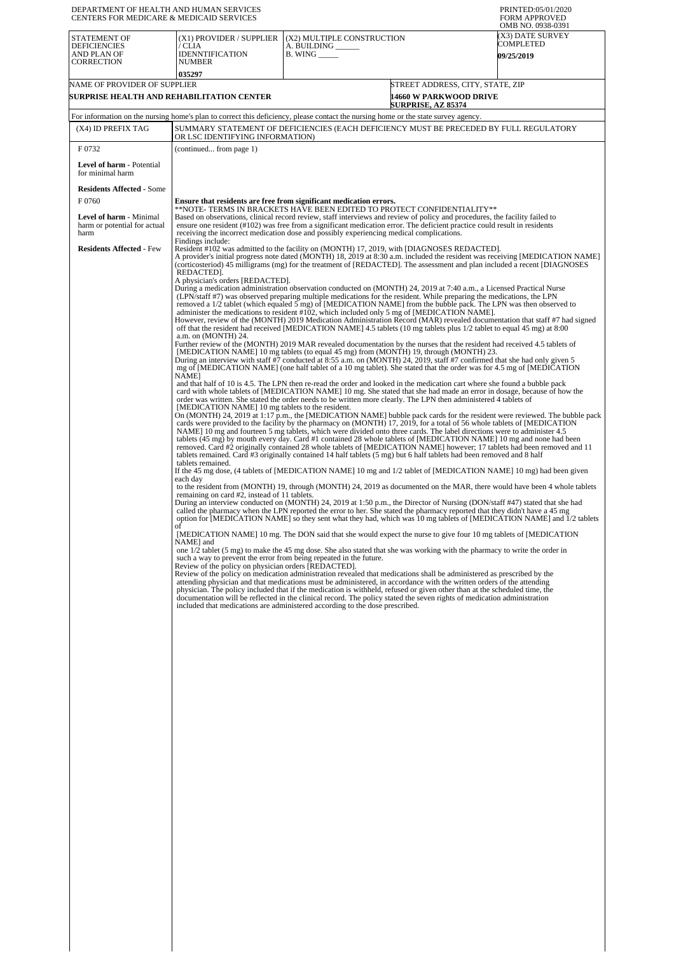| DEPARTMENT OF HEALTH AND HUMAN SERVICES<br>CENTERS FOR MEDICARE & MEDICAID SERVICES |                                                                                                                                                                                                                                                                                                                                                                                                                                                                                                    |                                                                                                                                                                                                                                                                                                                                                                                                                                                                                                                                                                                                                               |                                                            | PRINTED:05/01/2020<br><b>FORM APPROVED</b><br>OMB NO. 0938-0391 |  |  |  |
|-------------------------------------------------------------------------------------|----------------------------------------------------------------------------------------------------------------------------------------------------------------------------------------------------------------------------------------------------------------------------------------------------------------------------------------------------------------------------------------------------------------------------------------------------------------------------------------------------|-------------------------------------------------------------------------------------------------------------------------------------------------------------------------------------------------------------------------------------------------------------------------------------------------------------------------------------------------------------------------------------------------------------------------------------------------------------------------------------------------------------------------------------------------------------------------------------------------------------------------------|------------------------------------------------------------|-----------------------------------------------------------------|--|--|--|
| <b>STATEMENT OF</b><br><b>DEFICIENCIES</b><br>AND PLAN OF<br><b>CORRECTION</b>      | (X1) PROVIDER / SUPPLIER<br>/ CLIA<br><b>IDENNTIFICATION</b><br><b>NUMBER</b>                                                                                                                                                                                                                                                                                                                                                                                                                      | (X2) MULTIPLE CONSTRUCTION<br>A. BUILDING _<br><b>B. WING</b>                                                                                                                                                                                                                                                                                                                                                                                                                                                                                                                                                                 |                                                            | (X3) DATE SURVEY<br><b>COMPLETED</b><br><b>09/25/2019</b>       |  |  |  |
| 035297<br>NAME OF PROVIDER OF SUPPLIER<br>SURPRISE HEALTH AND REHABILITATION CENTER |                                                                                                                                                                                                                                                                                                                                                                                                                                                                                                    |                                                                                                                                                                                                                                                                                                                                                                                                                                                                                                                                                                                                                               | STREET ADDRESS, CITY, STATE, ZIP<br>14660 W PARKWOOD DRIVE |                                                                 |  |  |  |
|                                                                                     |                                                                                                                                                                                                                                                                                                                                                                                                                                                                                                    |                                                                                                                                                                                                                                                                                                                                                                                                                                                                                                                                                                                                                               | <b>SURPRISE, AZ 85374</b>                                  |                                                                 |  |  |  |
| (X4) ID PREFIX TAG                                                                  |                                                                                                                                                                                                                                                                                                                                                                                                                                                                                                    | For information on the nursing home's plan to correct this deficiency, please contact the nursing home or the state survey agency.<br>SUMMARY STATEMENT OF DEFICIENCIES (EACH DEFICIENCY MUST BE PRECEDED BY FULL REGULATORY                                                                                                                                                                                                                                                                                                                                                                                                  |                                                            |                                                                 |  |  |  |
|                                                                                     | OR LSC IDENTIFYING INFORMATION)                                                                                                                                                                                                                                                                                                                                                                                                                                                                    |                                                                                                                                                                                                                                                                                                                                                                                                                                                                                                                                                                                                                               |                                                            |                                                                 |  |  |  |
| F0732<br>Level of harm - Potential                                                  | (continued from page 1)                                                                                                                                                                                                                                                                                                                                                                                                                                                                            |                                                                                                                                                                                                                                                                                                                                                                                                                                                                                                                                                                                                                               |                                                            |                                                                 |  |  |  |
| for minimal harm                                                                    |                                                                                                                                                                                                                                                                                                                                                                                                                                                                                                    |                                                                                                                                                                                                                                                                                                                                                                                                                                                                                                                                                                                                                               |                                                            |                                                                 |  |  |  |
| <b>Residents Affected - Some</b><br>F 0760                                          |                                                                                                                                                                                                                                                                                                                                                                                                                                                                                                    | Ensure that residents are free from significant medication errors.                                                                                                                                                                                                                                                                                                                                                                                                                                                                                                                                                            |                                                            |                                                                 |  |  |  |
| <b>Level of harm - Minimal</b><br>harm or potential for actual                      |                                                                                                                                                                                                                                                                                                                                                                                                                                                                                                    | **NOTE- TERMS IN BRACKETS HAVE BEEN EDITED TO PROTECT CONFIDENTIALITY**<br>Based on observations, clinical record review, staff interviews and review of policy and procedures, the facility failed to<br>ensure one resident (#102) was free from a significant medication error. The deficient practice could result in residents                                                                                                                                                                                                                                                                                           |                                                            |                                                                 |  |  |  |
| harm<br><b>Residents Affected - Few</b>                                             | Findings include:                                                                                                                                                                                                                                                                                                                                                                                                                                                                                  | receiving the incorrect medication dose and possibly experiencing medical complications.<br>Resident #102 was admitted to the facility on (MONTH) 17, 2019, with [DIAGNOSES REDACTED].                                                                                                                                                                                                                                                                                                                                                                                                                                        |                                                            |                                                                 |  |  |  |
|                                                                                     | REDACTED].<br>A physician's orders [REDACTED].                                                                                                                                                                                                                                                                                                                                                                                                                                                     | A provider's initial progress note dated (MONTH) 18, 2019 at 8:30 a.m. included the resident was receiving [MEDICATION NAME]<br>(corticosteriod) 45 milligrams (mg) for the treatment of [REDACTED]. The assessment and plan included a recent [DIAGNOSES]                                                                                                                                                                                                                                                                                                                                                                    |                                                            |                                                                 |  |  |  |
|                                                                                     |                                                                                                                                                                                                                                                                                                                                                                                                                                                                                                    | During a medication administration observation conducted on (MONTH) 24, 2019 at 7:40 a.m., a Licensed Practical Nurse<br>(LPN/staff #7) was observed preparing multiple medications for the resident. While preparing the medications, the LPN<br>removed a 1/2 tablet (which equaled 5 mg) of [MEDICATION NAME] from the bubble pack. The LPN was then observed to<br>administer the medications to resident #102, which included only 5 mg of [MEDICATION NAME].                                                                                                                                                            |                                                            |                                                                 |  |  |  |
|                                                                                     | However, review of the (MONTH) 2019 Medication Administration Record (MAR) revealed documentation that staff #7 had signed<br>off that the resident had received [MEDICATION NAME] 4.5 tablets (10 mg tablets plus 1/2 tablet to equal 45 mg) at 8:00<br>a.m. on (MONTH) 24.<br>Further review of the (MONTH) 2019 MAR revealed documentation by the nurses that the resident had received 4.5 tablets of<br>[MEDICATION NAME] 10 mg tablets (to equal 45 mg) from (MONTH) 19, through (MONTH) 23. |                                                                                                                                                                                                                                                                                                                                                                                                                                                                                                                                                                                                                               |                                                            |                                                                 |  |  |  |
|                                                                                     | NAME]                                                                                                                                                                                                                                                                                                                                                                                                                                                                                              | During an interview with staff #7 conducted at 8:55 a.m. on (MONTH) 24, 2019, staff #7 confirmed that she had only given 5<br>mg of [MEDICATION NAME] (one half tablet of a 10 mg tablet). She stated that the order was for 4.5 mg of [MEDICATION<br>and that half of 10 is 4.5. The LPN then re-read the order and looked in the medication cart where she found a bubble pack                                                                                                                                                                                                                                              |                                                            |                                                                 |  |  |  |
|                                                                                     | [MEDICATION NAME] 10 mg tablets to the resident.                                                                                                                                                                                                                                                                                                                                                                                                                                                   | card with whole tablets of [MEDICATION NAME] 10 mg. She stated that she had made an error in dosage, because of how the<br>order was written. She stated the order needs to be written more clearly. The LPN then administered 4 tablets of<br>On (MONTH) 24, 2019 at 1:17 p.m., the [MEDICATION NAME] bubble pack cards for the resident were reviewed. The bubble pack                                                                                                                                                                                                                                                      |                                                            |                                                                 |  |  |  |
|                                                                                     | tablets remained.                                                                                                                                                                                                                                                                                                                                                                                                                                                                                  | cards were provided to the facility by the pharmacy on (MONTH) 17, 2019, for a total of 56 whole tablets of [MEDICATION]<br>NAME] 10 mg and fourteen 5 mg tablets, which were divided onto three cards. The label directions were to administer 4.5<br>tablets (45 mg) by mouth every day. Card #1 contained 28 whole tablets of [MEDICATION NAME] 10 mg and none had been<br>removed. Card #2 originally contained 28 whole tablets of [MEDICATION NAME] however; 17 tablets had been removed and 11<br>tablets remained. Card #3 originally contained 14 half tablets (5 mg) but 6 half tablets had been removed and 8 half |                                                            |                                                                 |  |  |  |
|                                                                                     | each day                                                                                                                                                                                                                                                                                                                                                                                                                                                                                           | If the 45 mg dose, (4 tablets of [MEDICATION NAME] 10 mg and 1/2 tablet of [MEDICATION NAME] 10 mg) had been given<br>to the resident from (MONTH) 19, through (MONTH) 24, 2019 as documented on the MAR, there would have been 4 whole tablets                                                                                                                                                                                                                                                                                                                                                                               |                                                            |                                                                 |  |  |  |
|                                                                                     | remaining on card #2, instead of 11 tablets.                                                                                                                                                                                                                                                                                                                                                                                                                                                       | During an interview conducted on (MONTH) 24, 2019 at 1:50 p.m., the Director of Nursing (DON/staff #47) stated that she had<br>called the pharmacy when the LPN reported the error to her. She stated the pharmacy reported that they didn't have a 45 mg<br>option for [MEDICATION NAME] so they sent what they had, which was 10 mg tablets of [MEDICATION NAME] and 1/2 tablets                                                                                                                                                                                                                                            |                                                            |                                                                 |  |  |  |
|                                                                                     | of<br>NAME] and                                                                                                                                                                                                                                                                                                                                                                                                                                                                                    | [MEDICATION NAME] 10 mg. The DON said that she would expect the nurse to give four 10 mg tablets of [MEDICATION                                                                                                                                                                                                                                                                                                                                                                                                                                                                                                               |                                                            |                                                                 |  |  |  |
|                                                                                     | one $1/2$ tablet (5 mg) to make the 45 mg dose. She also stated that she was working with the pharmacy to write the order in<br>such a way to prevent the error from being repeated in the future.<br>Review of the policy on physician orders [REDACTED].                                                                                                                                                                                                                                         |                                                                                                                                                                                                                                                                                                                                                                                                                                                                                                                                                                                                                               |                                                            |                                                                 |  |  |  |
|                                                                                     |                                                                                                                                                                                                                                                                                                                                                                                                                                                                                                    | Review of the policy on medication administration revealed that medications shall be administered as prescribed by the<br>attending physician and that medications must be administered, in accordance with the written orders of the attending<br>physician. The policy included that if the medication is withheld, refused or given other than at the scheduled time, the<br>documentation will be reflected in the clinical record. The policy stated the seven rights of medication administration<br>included that medications are administered according to the dose prescribed.                                       |                                                            |                                                                 |  |  |  |
|                                                                                     |                                                                                                                                                                                                                                                                                                                                                                                                                                                                                                    |                                                                                                                                                                                                                                                                                                                                                                                                                                                                                                                                                                                                                               |                                                            |                                                                 |  |  |  |
|                                                                                     |                                                                                                                                                                                                                                                                                                                                                                                                                                                                                                    |                                                                                                                                                                                                                                                                                                                                                                                                                                                                                                                                                                                                                               |                                                            |                                                                 |  |  |  |
|                                                                                     |                                                                                                                                                                                                                                                                                                                                                                                                                                                                                                    |                                                                                                                                                                                                                                                                                                                                                                                                                                                                                                                                                                                                                               |                                                            |                                                                 |  |  |  |
|                                                                                     |                                                                                                                                                                                                                                                                                                                                                                                                                                                                                                    |                                                                                                                                                                                                                                                                                                                                                                                                                                                                                                                                                                                                                               |                                                            |                                                                 |  |  |  |
|                                                                                     |                                                                                                                                                                                                                                                                                                                                                                                                                                                                                                    |                                                                                                                                                                                                                                                                                                                                                                                                                                                                                                                                                                                                                               |                                                            |                                                                 |  |  |  |
|                                                                                     |                                                                                                                                                                                                                                                                                                                                                                                                                                                                                                    |                                                                                                                                                                                                                                                                                                                                                                                                                                                                                                                                                                                                                               |                                                            |                                                                 |  |  |  |
|                                                                                     |                                                                                                                                                                                                                                                                                                                                                                                                                                                                                                    |                                                                                                                                                                                                                                                                                                                                                                                                                                                                                                                                                                                                                               |                                                            |                                                                 |  |  |  |
|                                                                                     |                                                                                                                                                                                                                                                                                                                                                                                                                                                                                                    |                                                                                                                                                                                                                                                                                                                                                                                                                                                                                                                                                                                                                               |                                                            |                                                                 |  |  |  |
|                                                                                     |                                                                                                                                                                                                                                                                                                                                                                                                                                                                                                    |                                                                                                                                                                                                                                                                                                                                                                                                                                                                                                                                                                                                                               |                                                            |                                                                 |  |  |  |
|                                                                                     |                                                                                                                                                                                                                                                                                                                                                                                                                                                                                                    |                                                                                                                                                                                                                                                                                                                                                                                                                                                                                                                                                                                                                               |                                                            |                                                                 |  |  |  |
|                                                                                     |                                                                                                                                                                                                                                                                                                                                                                                                                                                                                                    |                                                                                                                                                                                                                                                                                                                                                                                                                                                                                                                                                                                                                               |                                                            |                                                                 |  |  |  |